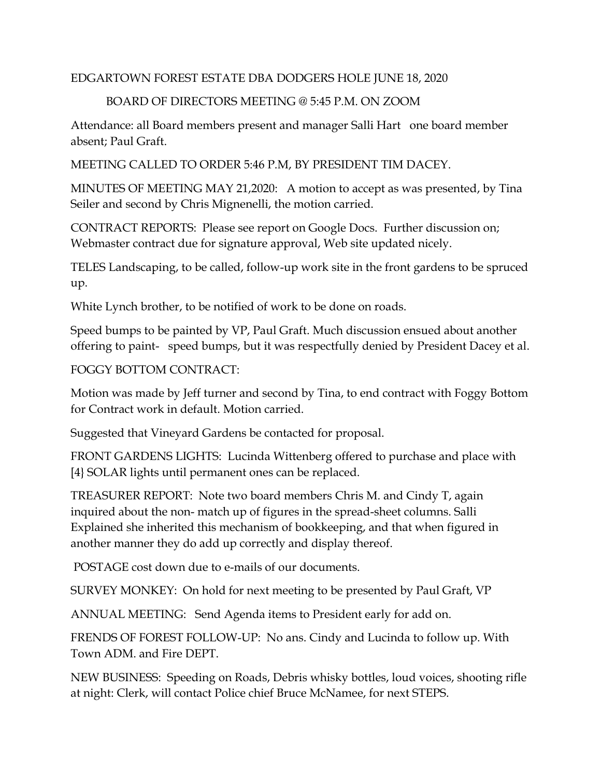## EDGARTOWN FOREST ESTATE DBA DODGERS HOLE JUNE 18, 2020

## BOARD OF DIRECTORS MEETING @ 5:45 P.M. ON ZOOM

Attendance: all Board members present and manager Salli Hart one board member absent; Paul Graft.

MEETING CALLED TO ORDER 5:46 P.M, BY PRESIDENT TIM DACEY.

MINUTES OF MEETING MAY 21,2020: A motion to accept as was presented, by Tina Seiler and second by Chris Mignenelli, the motion carried.

CONTRACT REPORTS: Please see report on Google Docs. Further discussion on; Webmaster contract due for signature approval, Web site updated nicely.

TELES Landscaping, to be called, follow-up work site in the front gardens to be spruced up.

White Lynch brother, to be notified of work to be done on roads.

Speed bumps to be painted by VP, Paul Graft. Much discussion ensued about another offering to paint- speed bumps, but it was respectfully denied by President Dacey et al.

## FOGGY BOTTOM CONTRACT:

Motion was made by Jeff turner and second by Tina, to end contract with Foggy Bottom for Contract work in default. Motion carried.

Suggested that Vineyard Gardens be contacted for proposal.

FRONT GARDENS LIGHTS: Lucinda Wittenberg offered to purchase and place with [4} SOLAR lights until permanent ones can be replaced.

TREASURER REPORT: Note two board members Chris M. and Cindy T, again inquired about the non- match up of figures in the spread-sheet columns. Salli Explained she inherited this mechanism of bookkeeping, and that when figured in another manner they do add up correctly and display thereof.

POSTAGE cost down due to e-mails of our documents.

SURVEY MONKEY: On hold for next meeting to be presented by Paul Graft, VP

ANNUAL MEETING: Send Agenda items to President early for add on.

FRENDS OF FOREST FOLLOW-UP: No ans. Cindy and Lucinda to follow up. With Town ADM. and Fire DEPT.

NEW BUSINESS: Speeding on Roads, Debris whisky bottles, loud voices, shooting rifle at night: Clerk, will contact Police chief Bruce McNamee, for next STEPS.